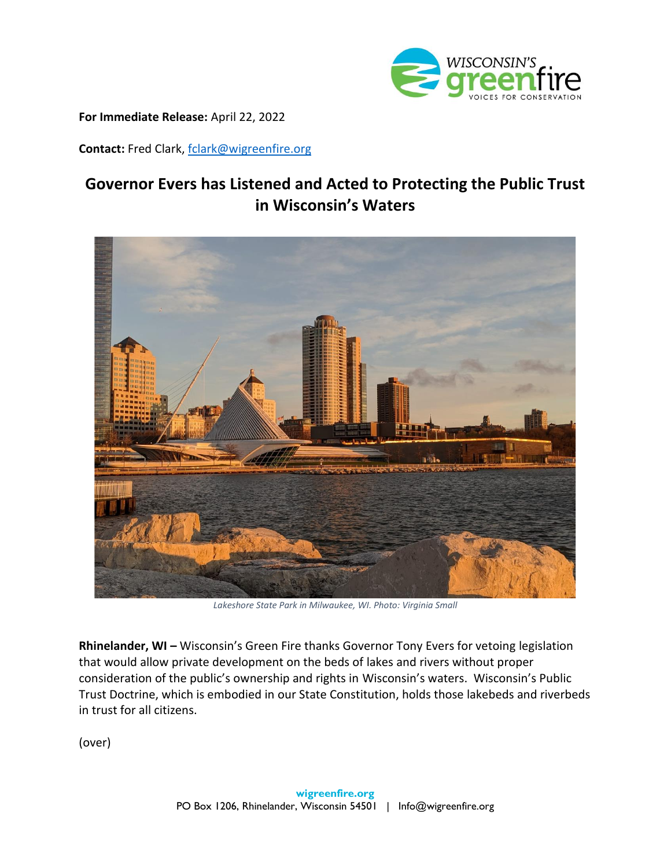

**For Immediate Release:** April 22, 2022

**Contact:** Fred Clark, [fclark@wigreenfire.org](mailto:fclark@wigreenfire.org)

## **Governor Evers has Listened and Acted to Protecting the Public Trust in Wisconsin's Waters**



*Lakeshore State Park in Milwaukee, WI. Photo: Virginia Small*

**Rhinelander, WI –** Wisconsin's Green Fire thanks Governor Tony Evers for vetoing legislation that would allow private development on the beds of lakes and rivers without proper consideration of the public's ownership and rights in Wisconsin's waters. Wisconsin's Public Trust Doctrine, which is embodied in our State Constitution, holds those lakebeds and riverbeds in trust for all citizens.

(over)